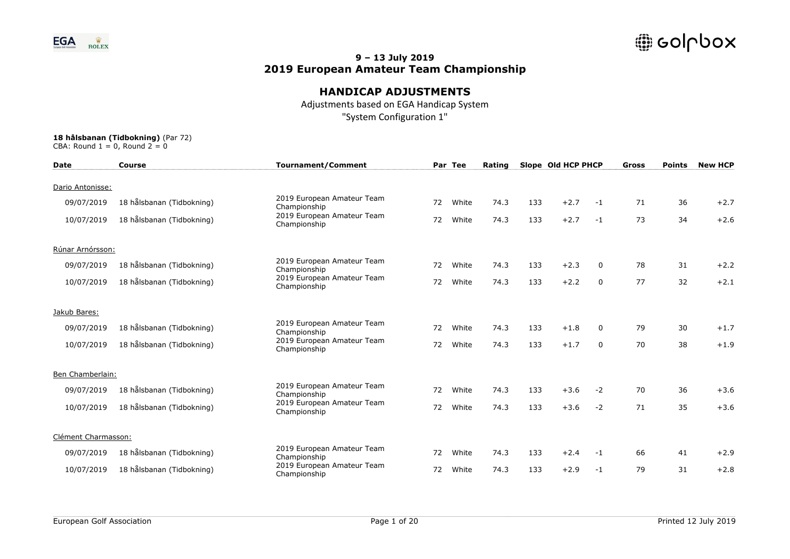

## **HANDICAP ADJUSTMENTS**

Adjustments based on EGA Handicap System "System Configuration 1"

| <b>Date</b>         | <b>Course</b>             | Tournament/Comment                         |    | Par Tee | Rating |     | Slope Old HCP PHCP |             | Gross | <b>Points</b> | <b>New HCP</b> |
|---------------------|---------------------------|--------------------------------------------|----|---------|--------|-----|--------------------|-------------|-------|---------------|----------------|
| Dario Antonisse:    |                           |                                            |    |         |        |     |                    |             |       |               |                |
| 09/07/2019          | 18 hålsbanan (Tidbokning) | 2019 European Amateur Team<br>Championship | 72 | White   | 74.3   | 133 | $+2.7$             | $-1$        | 71    | 36            | $+2.7$         |
| 10/07/2019          | 18 hålsbanan (Tidbokning) | 2019 European Amateur Team<br>Championship | 72 | White   | 74.3   | 133 | $+2.7$             | $-1$        | 73    | 34            | $+2.6$         |
| Rúnar Arnórsson:    |                           |                                            |    |         |        |     |                    |             |       |               |                |
| 09/07/2019          | 18 hålsbanan (Tidbokning) | 2019 European Amateur Team<br>Championship | 72 | White   | 74.3   | 133 | $+2.3$             | $\Omega$    | 78    | 31            | $+2.2$         |
| 10/07/2019          | 18 hålsbanan (Tidbokning) | 2019 European Amateur Team<br>Championship | 72 | White   | 74.3   | 133 | $+2.2$             | $\mathbf 0$ | 77    | 32            | $+2.1$         |
| Jakub Bares:        |                           |                                            |    |         |        |     |                    |             |       |               |                |
| 09/07/2019          | 18 hålsbanan (Tidbokning) | 2019 European Amateur Team<br>Championship | 72 | White   | 74.3   | 133 | $+1.8$             | 0           | 79    | 30            | $+1.7$         |
| 10/07/2019          | 18 hålsbanan (Tidbokning) | 2019 European Amateur Team<br>Championship | 72 | White   | 74.3   | 133 | $+1.7$             | $\Omega$    | 70    | 38            | $+1.9$         |
| Ben Chamberlain:    |                           |                                            |    |         |        |     |                    |             |       |               |                |
| 09/07/2019          | 18 hålsbanan (Tidbokning) | 2019 European Amateur Team<br>Championship | 72 | White   | 74.3   | 133 | $+3.6$             | $-2$        | 70    | 36            | $+3.6$         |
| 10/07/2019          | 18 hålsbanan (Tidbokning) | 2019 European Amateur Team<br>Championship | 72 | White   | 74.3   | 133 | $+3.6$             | $-2$        | 71    | 35            | $+3.6$         |
| Clément Charmasson: |                           |                                            |    |         |        |     |                    |             |       |               |                |
| 09/07/2019          | 18 hålsbanan (Tidbokning) | 2019 European Amateur Team<br>Championship | 72 | White   | 74.3   | 133 | $+2.4$             | $-1$        | 66    | 41            | $+2.9$         |
| 10/07/2019          | 18 hålsbanan (Tidbokning) | 2019 European Amateur Team<br>Championship | 72 | White   | 74.3   | 133 | $+2.9$             | $-1$        | 79    | 31            | $+2.8$         |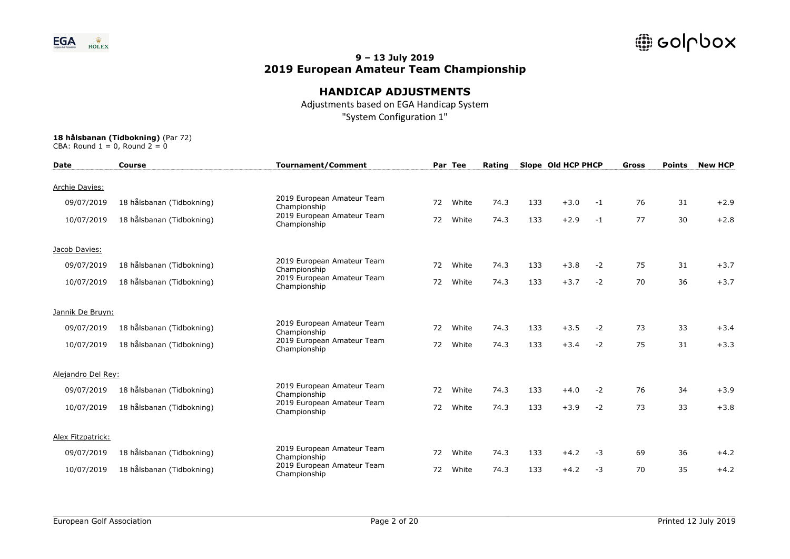

## **HANDICAP ADJUSTMENTS**

Adjustments based on EGA Handicap System "System Configuration 1"

| <b>Date</b>        | <b>Course</b>             | <b>Tournament/Comment</b>                  |    | Par Tee | Rating |     | Slope Old HCP PHCP |      | <b>Gross</b> | <b>Points</b> | <b>New HCP</b> |
|--------------------|---------------------------|--------------------------------------------|----|---------|--------|-----|--------------------|------|--------------|---------------|----------------|
|                    |                           |                                            |    |         |        |     |                    |      |              |               |                |
| Archie Davies:     |                           |                                            |    |         |        |     |                    |      |              |               |                |
| 09/07/2019         | 18 hålsbanan (Tidbokning) | 2019 European Amateur Team<br>Championship | 72 | White   | 74.3   | 133 | $+3.0$             | -1   | 76           | 31            | $+2.9$         |
| 10/07/2019         | 18 hålsbanan (Tidbokning) | 2019 European Amateur Team<br>Championship | 72 | White   | 74.3   | 133 | $+2.9$             | $-1$ | 77           | 30            | $+2.8$         |
| Jacob Davies:      |                           |                                            |    |         |        |     |                    |      |              |               |                |
| 09/07/2019         | 18 hålsbanan (Tidbokning) | 2019 European Amateur Team<br>Championship | 72 | White   | 74.3   | 133 | $+3.8$             | $-2$ | 75           | 31            | $+3.7$         |
| 10/07/2019         | 18 hålsbanan (Tidbokning) | 2019 European Amateur Team<br>Championship | 72 | White   | 74.3   | 133 | $+3.7$             | $-2$ | 70           | 36            | $+3.7$         |
| Jannik De Bruyn:   |                           |                                            |    |         |        |     |                    |      |              |               |                |
| 09/07/2019         | 18 hålsbanan (Tidbokning) | 2019 European Amateur Team<br>Championship | 72 | White   | 74.3   | 133 | $+3.5$             | $-2$ | 73           | 33            | $+3.4$         |
| 10/07/2019         | 18 hålsbanan (Tidbokning) | 2019 European Amateur Team<br>Championship | 72 | White   | 74.3   | 133 | $+3.4$             | $-2$ | 75           | 31            | $+3.3$         |
| Alejandro Del Rey: |                           |                                            |    |         |        |     |                    |      |              |               |                |
| 09/07/2019         | 18 hålsbanan (Tidbokning) | 2019 European Amateur Team<br>Championship | 72 | White   | 74.3   | 133 | $+4.0$             | $-2$ | 76           | 34            | $+3.9$         |
| 10/07/2019         | 18 hålsbanan (Tidbokning) | 2019 European Amateur Team<br>Championship | 72 | White   | 74.3   | 133 | $+3.9$             | $-2$ | 73           | 33            | $+3.8$         |
| Alex Fitzpatrick:  |                           |                                            |    |         |        |     |                    |      |              |               |                |
| 09/07/2019         | 18 hålsbanan (Tidbokning) | 2019 European Amateur Team<br>Championship | 72 | White   | 74.3   | 133 | $+4.2$             | $-3$ | 69           | 36            | $+4.2$         |
| 10/07/2019         | 18 hålsbanan (Tidbokning) | 2019 European Amateur Team<br>Championship | 72 | White   | 74.3   | 133 | $+4.2$             | $-3$ | 70           | 35            | $+4.2$         |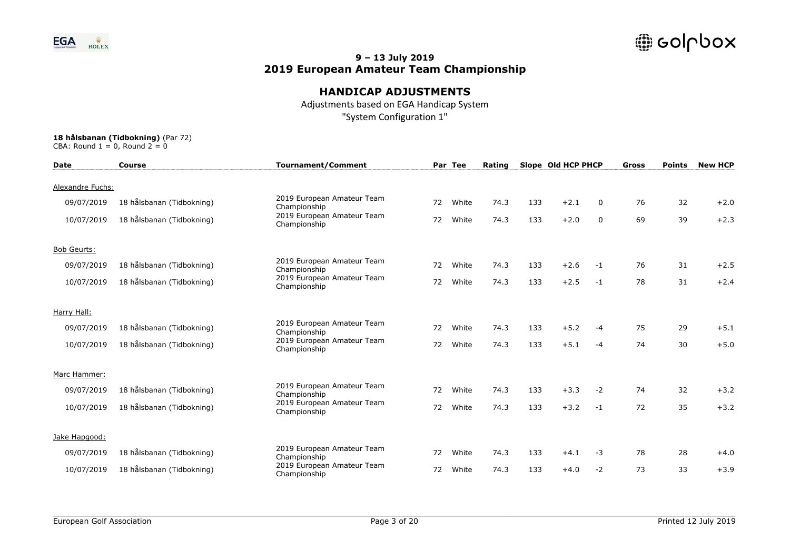

## **HANDICAP ADJUSTMENTS**

Adjustments based on EGA Handicap System "System Configuration 1"

| <b>Date</b>        | <b>Course</b>             | <b>Tournament/Comment</b>                  |    | Par Tee | Rating |     | Slope Old HCP PHCP |             | Gross | <b>Points</b> | <b>New HCP</b> |
|--------------------|---------------------------|--------------------------------------------|----|---------|--------|-----|--------------------|-------------|-------|---------------|----------------|
| Alexandre Fuchs:   |                           |                                            |    |         |        |     |                    |             |       |               |                |
| 09/07/2019         | 18 hålsbanan (Tidbokning) | 2019 European Amateur Team<br>Championship | 72 | White   | 74.3   | 133 | $+2.1$             | $\Omega$    | 76    | 32            | $+2.0$         |
| 10/07/2019         | 18 hålsbanan (Tidbokning) | 2019 European Amateur Team<br>Championship | 72 | White   | 74.3   | 133 | $+2.0$             | $\mathbf 0$ | 69    | 39            | $+2.3$         |
| <b>Bob Geurts:</b> |                           |                                            |    |         |        |     |                    |             |       |               |                |
| 09/07/2019         | 18 hålsbanan (Tidbokning) | 2019 European Amateur Team<br>Championship | 72 | White   | 74.3   | 133 | $+2.6$             | $-1$        | 76    | 31            | $+2.5$         |
| 10/07/2019         | 18 hålsbanan (Tidbokning) | 2019 European Amateur Team<br>Championship | 72 | White   | 74.3   | 133 | $+2.5$             | $-1$        | 78    | 31            | $+2.4$         |
| Harry Hall:        |                           |                                            |    |         |        |     |                    |             |       |               |                |
| 09/07/2019         | 18 hålsbanan (Tidbokning) | 2019 European Amateur Team<br>Championship | 72 | White   | 74.3   | 133 | $+5.2$             | $-4$        | 75    | 29            | $+5.1$         |
| 10/07/2019         | 18 hålsbanan (Tidbokning) | 2019 European Amateur Team<br>Championship | 72 | White   | 74.3   | 133 | $+5.1$             | $-4$        | 74    | 30            | $+5.0$         |
| Marc Hammer:       |                           |                                            |    |         |        |     |                    |             |       |               |                |
| 09/07/2019         | 18 hålsbanan (Tidbokning) | 2019 European Amateur Team<br>Championship | 72 | White   | 74.3   | 133 | $+3.3$             | $-2$        | 74    | 32            | $+3.2$         |
| 10/07/2019         | 18 hålsbanan (Tidbokning) | 2019 European Amateur Team<br>Championship | 72 | White   | 74.3   | 133 | $+3.2$             | $-1$        | 72    | 35            | $+3.2$         |
| Jake Hapgood:      |                           |                                            |    |         |        |     |                    |             |       |               |                |
| 09/07/2019         | 18 hålsbanan (Tidbokning) | 2019 European Amateur Team<br>Championship | 72 | White   | 74.3   | 133 | $+4.1$             | $-3$        | 78    | 28            | $+4.0$         |
| 10/07/2019         | 18 hålsbanan (Tidbokning) | 2019 European Amateur Team<br>Championship | 72 | White   | 74.3   | 133 | $+4.0$             | $-2$        | 73    | 33            | $+3.9$         |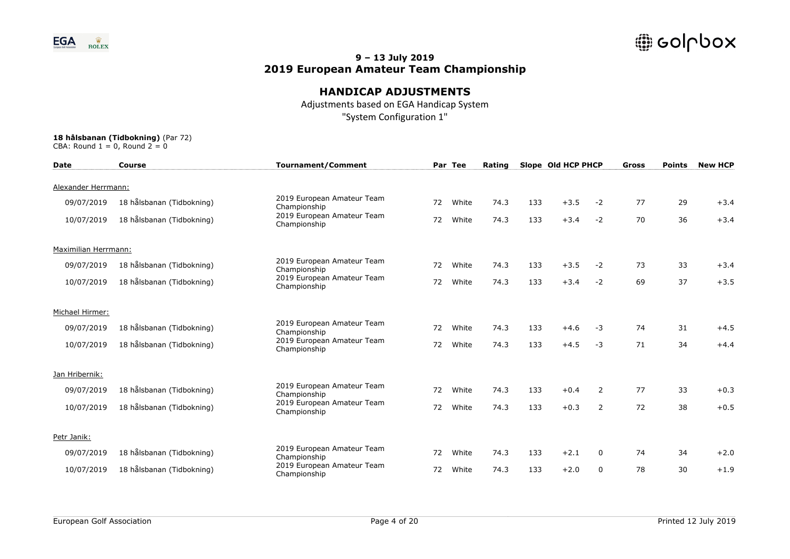

## **HANDICAP ADJUSTMENTS**

Adjustments based on EGA Handicap System "System Configuration 1"

| <b>Date</b>          | Course                    | <b>Tournament/Comment</b>                  |    | Par Tee | Rating |     | Slope Old HCP PHCP |              | Gross | <b>Points</b> | <b>New HCP</b> |
|----------------------|---------------------------|--------------------------------------------|----|---------|--------|-----|--------------------|--------------|-------|---------------|----------------|
| Alexander Herrmann:  |                           |                                            |    |         |        |     |                    |              |       |               |                |
| 09/07/2019           | 18 hålsbanan (Tidbokning) | 2019 European Amateur Team<br>Championship | 72 | White   | 74.3   | 133 | $+3.5$             | $-2$         | 77    | 29            | $+3.4$         |
| 10/07/2019           | 18 hålsbanan (Tidbokning) | 2019 European Amateur Team<br>Championship | 72 | White   | 74.3   | 133 | $+3.4$             | $-2$         | 70    | 36            | $+3.4$         |
| Maximilian Herrmann: |                           |                                            |    |         |        |     |                    |              |       |               |                |
| 09/07/2019           | 18 hålsbanan (Tidbokning) | 2019 European Amateur Team<br>Championship | 72 | White   | 74.3   | 133 | $+3.5$             | $-2$         | 73    | 33            | $+3.4$         |
| 10/07/2019           | 18 hålsbanan (Tidbokning) | 2019 European Amateur Team<br>Championship | 72 | White   | 74.3   | 133 | $+3.4$             | $-2$         | 69    | 37            | $+3.5$         |
| Michael Hirmer:      |                           |                                            |    |         |        |     |                    |              |       |               |                |
| 09/07/2019           | 18 hålsbanan (Tidbokning) | 2019 European Amateur Team<br>Championship | 72 | White   | 74.3   | 133 | $+4.6$             | $-3$         | 74    | 31            | $+4.5$         |
| 10/07/2019           | 18 hålsbanan (Tidbokning) | 2019 European Amateur Team<br>Championship | 72 | White   | 74.3   | 133 | $+4.5$             | $-3$         | 71    | 34            | $+4.4$         |
| Jan Hribernik:       |                           |                                            |    |         |        |     |                    |              |       |               |                |
| 09/07/2019           | 18 hålsbanan (Tidbokning) | 2019 European Amateur Team<br>Championship | 72 | White   | 74.3   | 133 | $+0.4$             | 2            | 77    | 33            | $+0.3$         |
| 10/07/2019           | 18 hålsbanan (Tidbokning) | 2019 European Amateur Team<br>Championship | 72 | White   | 74.3   | 133 | $+0.3$             | 2            | 72    | 38            | $+0.5$         |
| Petr Janik:          |                           |                                            |    |         |        |     |                    |              |       |               |                |
| 09/07/2019           | 18 hålsbanan (Tidbokning) | 2019 European Amateur Team<br>Championship | 72 | White   | 74.3   | 133 | $+2.1$             | $\mathbf{0}$ | 74    | 34            | $+2.0$         |
| 10/07/2019           | 18 hålsbanan (Tidbokning) | 2019 European Amateur Team<br>Championship | 72 | White   | 74.3   | 133 | $+2.0$             | $\mathbf{0}$ | 78    | 30            | $+1.9$         |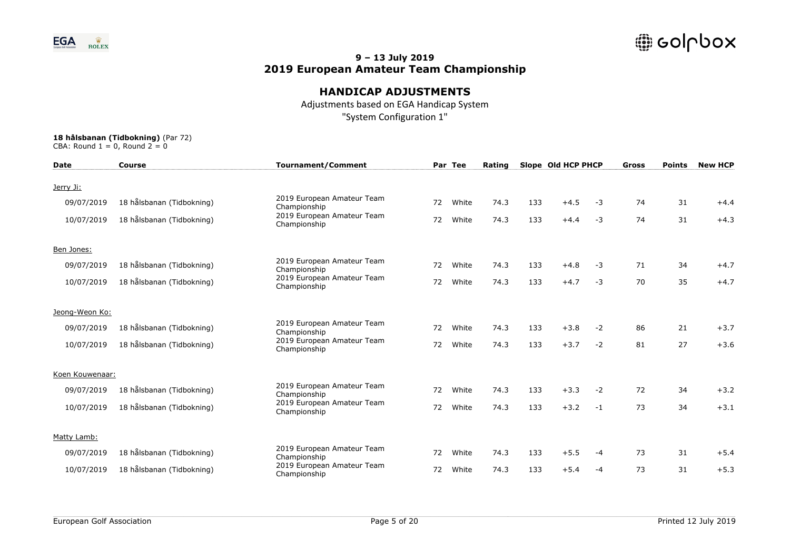

## **HANDICAP ADJUSTMENTS**

Adjustments based on EGA Handicap System "System Configuration 1"

| <b>Date</b>     | <b>Course</b>             | <b>Tournament/Comment</b>                  |    | Par Tee | Rating |     | Slope Old HCP PHCP |      | Gross | <b>Points</b> | <b>New HCP</b> |
|-----------------|---------------------------|--------------------------------------------|----|---------|--------|-----|--------------------|------|-------|---------------|----------------|
| Jerry Ji:       |                           |                                            |    |         |        |     |                    |      |       |               |                |
| 09/07/2019      | 18 hålsbanan (Tidbokning) | 2019 European Amateur Team<br>Championship | 72 | White   | 74.3   | 133 | $+4.5$             | -3   | 74    | 31            | $+4.4$         |
| 10/07/2019      | 18 hålsbanan (Tidbokning) | 2019 European Amateur Team<br>Championship | 72 | White   | 74.3   | 133 | $+4.4$             | $-3$ | 74    | 31            | $+4.3$         |
| Ben Jones:      |                           |                                            |    |         |        |     |                    |      |       |               |                |
| 09/07/2019      | 18 hålsbanan (Tidbokning) | 2019 European Amateur Team<br>Championship | 72 | White   | 74.3   | 133 | $+4.8$             | $-3$ | 71    | 34            | $+4.7$         |
| 10/07/2019      | 18 hålsbanan (Tidbokning) | 2019 European Amateur Team<br>Championship | 72 | White   | 74.3   | 133 | $+4.7$             | $-3$ | 70    | 35            | $+4.7$         |
| Jeong-Weon Ko:  |                           |                                            |    |         |        |     |                    |      |       |               |                |
| 09/07/2019      | 18 hålsbanan (Tidbokning) | 2019 European Amateur Team<br>Championship | 72 | White   | 74.3   | 133 | $+3.8$             | $-2$ | 86    | 21            | $+3.7$         |
| 10/07/2019      | 18 hålsbanan (Tidbokning) | 2019 European Amateur Team<br>Championship | 72 | White   | 74.3   | 133 | $+3.7$             | $-2$ | 81    | 27            | $+3.6$         |
| Koen Kouwenaar: |                           |                                            |    |         |        |     |                    |      |       |               |                |
| 09/07/2019      | 18 hålsbanan (Tidbokning) | 2019 European Amateur Team<br>Championship | 72 | White   | 74.3   | 133 | $+3.3$             | $-2$ | 72    | 34            | $+3.2$         |
| 10/07/2019      | 18 hålsbanan (Tidbokning) | 2019 European Amateur Team<br>Championship | 72 | White   | 74.3   | 133 | $+3.2$             | $-1$ | 73    | 34            | $+3.1$         |
| Matty Lamb:     |                           |                                            |    |         |        |     |                    |      |       |               |                |
| 09/07/2019      | 18 hålsbanan (Tidbokning) | 2019 European Amateur Team<br>Championship | 72 | White   | 74.3   | 133 | $+5.5$             | $-4$ | 73    | 31            | $+5.4$         |
| 10/07/2019      | 18 hålsbanan (Tidbokning) | 2019 European Amateur Team<br>Championship | 72 | White   | 74.3   | 133 | $+5.4$             | $-4$ | 73    | 31            | $+5.3$         |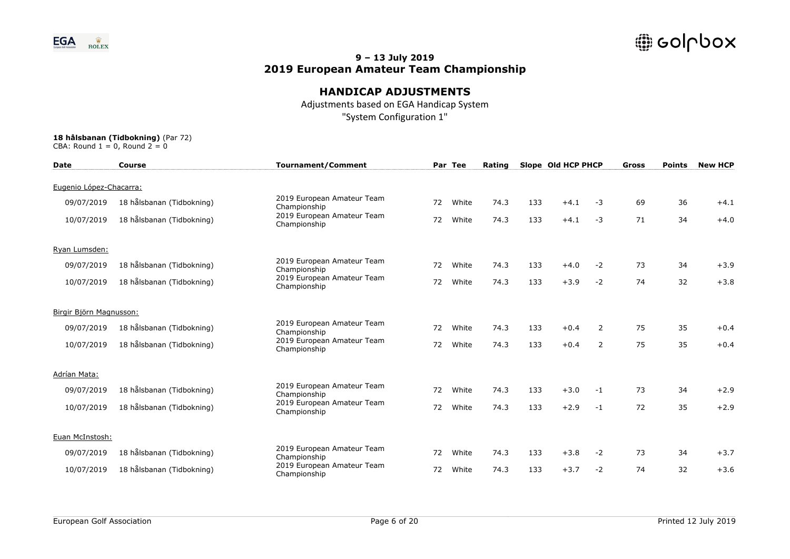

## **HANDICAP ADJUSTMENTS**

Adjustments based on EGA Handicap System "System Configuration 1"

| <b>Date</b>             | Course                    | <b>Tournament/Comment</b>                  |    | Par Tee | Rating |     | Slope Old HCP PHCP |      | Gross | <b>Points</b> | <b>New HCP</b> |
|-------------------------|---------------------------|--------------------------------------------|----|---------|--------|-----|--------------------|------|-------|---------------|----------------|
| Eugenio López-Chacarra: |                           |                                            |    |         |        |     |                    |      |       |               |                |
| 09/07/2019              | 18 hålsbanan (Tidbokning) | 2019 European Amateur Team<br>Championship | 72 | White   | 74.3   | 133 | $+4.1$             | $-3$ | 69    | 36            | $+4.1$         |
| 10/07/2019              | 18 hålsbanan (Tidbokning) | 2019 European Amateur Team<br>Championship | 72 | White   | 74.3   | 133 | $+4.1$             | $-3$ | 71    | 34            | $+4.0$         |
| Ryan Lumsden:           |                           |                                            |    |         |        |     |                    |      |       |               |                |
| 09/07/2019              | 18 hålsbanan (Tidbokning) | 2019 European Amateur Team<br>Championship | 72 | White   | 74.3   | 133 | $+4.0$             | $-2$ | 73    | 34            | $+3.9$         |
| 10/07/2019              | 18 hålsbanan (Tidbokning) | 2019 European Amateur Team<br>Championship | 72 | White   | 74.3   | 133 | $+3.9$             | $-2$ | 74    | 32            | $+3.8$         |
| Birgir Björn Magnusson: |                           |                                            |    |         |        |     |                    |      |       |               |                |
| 09/07/2019              | 18 hålsbanan (Tidbokning) | 2019 European Amateur Team<br>Championship | 72 | White   | 74.3   | 133 | $+0.4$             | 2    | 75    | 35            | $+0.4$         |
| 10/07/2019              | 18 hålsbanan (Tidbokning) | 2019 European Amateur Team<br>Championship | 72 | White   | 74.3   | 133 | $+0.4$             | 2    | 75    | 35            | $+0.4$         |
| Adrían Mata:            |                           |                                            |    |         |        |     |                    |      |       |               |                |
| 09/07/2019              | 18 hålsbanan (Tidbokning) | 2019 European Amateur Team<br>Championship | 72 | White   | 74.3   | 133 | $+3.0$             | $-1$ | 73    | 34            | $+2.9$         |
| 10/07/2019              | 18 hålsbanan (Tidbokning) | 2019 European Amateur Team<br>Championship | 72 | White   | 74.3   | 133 | $+2.9$             | $-1$ | 72    | 35            | $+2.9$         |
| Euan McInstosh:         |                           |                                            |    |         |        |     |                    |      |       |               |                |
| 09/07/2019              | 18 hålsbanan (Tidbokning) | 2019 European Amateur Team<br>Championship | 72 | White   | 74.3   | 133 | $+3.8$             | $-2$ | 73    | 34            | $+3.7$         |
| 10/07/2019              | 18 hålsbanan (Tidbokning) | 2019 European Amateur Team<br>Championship | 72 | White   | 74.3   | 133 | $+3.7$             | $-2$ | 74    | 32            | $+3.6$         |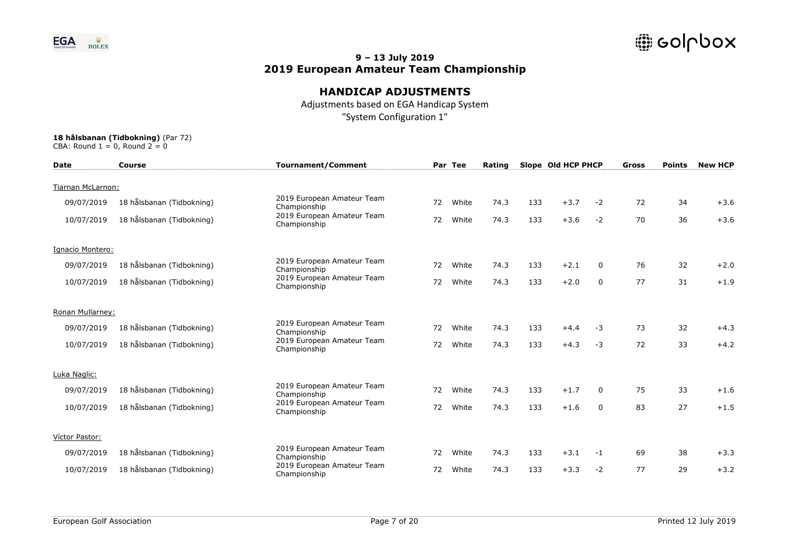

## **HANDICAP ADJUSTMENTS**

Adjustments based on EGA Handicap System "System Configuration 1"

| <b>Date</b>       | <b>Course</b>             | <b>Tournament/Comment</b>                  |    | Par Tee | Rating |     | Slope Old HCP PHCP |              | Gross | <b>Points</b> | <b>New HCP</b> |
|-------------------|---------------------------|--------------------------------------------|----|---------|--------|-----|--------------------|--------------|-------|---------------|----------------|
| Tiarnan McLarnon: |                           |                                            |    |         |        |     |                    |              |       |               |                |
| 09/07/2019        | 18 hålsbanan (Tidbokning) | 2019 European Amateur Team<br>Championship | 72 | White   | 74.3   | 133 | $+3.7$             | $-2$         | 72    | 34            | $+3.6$         |
| 10/07/2019        | 18 hålsbanan (Tidbokning) | 2019 European Amateur Team<br>Championship | 72 | White   | 74.3   | 133 | $+3.6$             | $-2$         | 70    | 36            | $+3.6$         |
| Ignacio Montero:  |                           |                                            |    |         |        |     |                    |              |       |               |                |
| 09/07/2019        | 18 hålsbanan (Tidbokning) | 2019 European Amateur Team<br>Championship | 72 | White   | 74.3   | 133 | $+2.1$             | $\mathbf{0}$ | 76    | 32            | $+2.0$         |
| 10/07/2019        | 18 hålsbanan (Tidbokning) | 2019 European Amateur Team<br>Championship | 72 | White   | 74.3   | 133 | $+2.0$             | 0            | 77    | 31            | $+1.9$         |
| Ronan Mullarney:  |                           |                                            |    |         |        |     |                    |              |       |               |                |
| 09/07/2019        | 18 hålsbanan (Tidbokning) | 2019 European Amateur Team<br>Championship | 72 | White   | 74.3   | 133 | $+4.4$             | $-3$         | 73    | 32            | $+4.3$         |
| 10/07/2019        | 18 hålsbanan (Tidbokning) | 2019 European Amateur Team<br>Championship | 72 | White   | 74.3   | 133 | $+4.3$             | $-3$         | 72    | 33            | $+4.2$         |
| Luka Naglic:      |                           |                                            |    |         |        |     |                    |              |       |               |                |
| 09/07/2019        | 18 hålsbanan (Tidbokning) | 2019 European Amateur Team<br>Championship | 72 | White   | 74.3   | 133 | $+1.7$             | $\Omega$     | 75    | 33            | $+1.6$         |
| 10/07/2019        | 18 hålsbanan (Tidbokning) | 2019 European Amateur Team<br>Championship | 72 | White   | 74.3   | 133 | $+1.6$             | $\Omega$     | 83    | 27            | $+1.5$         |
| Víctor Pastor:    |                           |                                            |    |         |        |     |                    |              |       |               |                |
| 09/07/2019        | 18 hålsbanan (Tidbokning) | 2019 European Amateur Team<br>Championship | 72 | White   | 74.3   | 133 | $+3.1$             | $-1$         | 69    | 38            | $+3.3$         |
| 10/07/2019        | 18 hålsbanan (Tidbokning) | 2019 European Amateur Team<br>Championship | 72 | White   | 74.3   | 133 | $+3.3$             | $-2$         | 77    | 29            | $+3.2$         |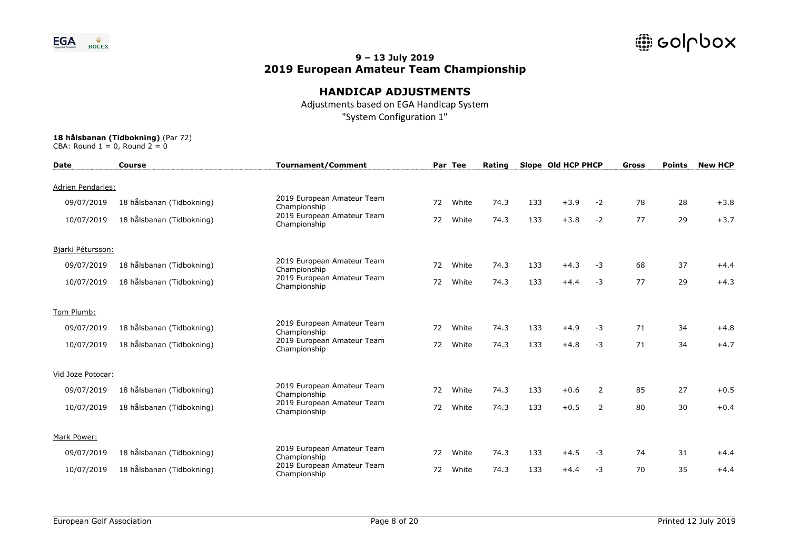

## **HANDICAP ADJUSTMENTS**

Adjustments based on EGA Handicap System "System Configuration 1"

| <b>Date</b>              | <b>Course</b>             | <b>Tournament/Comment</b>                  |    | Par Tee | Rating |     | Slope Old HCP PHCP |      | Gross | <b>Points</b> | <b>New HCP</b> |
|--------------------------|---------------------------|--------------------------------------------|----|---------|--------|-----|--------------------|------|-------|---------------|----------------|
| <b>Adrien Pendaries:</b> |                           |                                            |    |         |        |     |                    |      |       |               |                |
| 09/07/2019               | 18 hålsbanan (Tidbokning) | 2019 European Amateur Team<br>Championship | 72 | White   | 74.3   | 133 | $+3.9$             | $-2$ | 78    | 28            | $+3.8$         |
| 10/07/2019               | 18 hålsbanan (Tidbokning) | 2019 European Amateur Team<br>Championship | 72 | White   | 74.3   | 133 | $+3.8$             | $-2$ | 77    | 29            | $+3.7$         |
| Bjarki Pétursson:        |                           |                                            |    |         |        |     |                    |      |       |               |                |
| 09/07/2019               | 18 hålsbanan (Tidbokning) | 2019 European Amateur Team<br>Championship | 72 | White   | 74.3   | 133 | $+4.3$             | $-3$ | 68    | 37            | $+4.4$         |
| 10/07/2019               | 18 hålsbanan (Tidbokning) | 2019 European Amateur Team<br>Championship | 72 | White   | 74.3   | 133 | $+4.4$             | $-3$ | 77    | 29            | $+4.3$         |
| Tom Plumb:               |                           |                                            |    |         |        |     |                    |      |       |               |                |
| 09/07/2019               | 18 hålsbanan (Tidbokning) | 2019 European Amateur Team<br>Championship | 72 | White   | 74.3   | 133 | $+4.9$             | $-3$ | 71    | 34            | $+4.8$         |
| 10/07/2019               | 18 hålsbanan (Tidbokning) | 2019 European Amateur Team<br>Championship | 72 | White   | 74.3   | 133 | $+4.8$             | $-3$ | 71    | 34            | $+4.7$         |
| Vid Joze Potocar:        |                           |                                            |    |         |        |     |                    |      |       |               |                |
| 09/07/2019               | 18 hålsbanan (Tidbokning) | 2019 European Amateur Team<br>Championship | 72 | White   | 74.3   | 133 | $+0.6$             | 2    | 85    | 27            | $+0.5$         |
| 10/07/2019               | 18 hålsbanan (Tidbokning) | 2019 European Amateur Team<br>Championship | 72 | White   | 74.3   | 133 | $+0.5$             | 2    | 80    | 30            | $+0.4$         |
| Mark Power:              |                           |                                            |    |         |        |     |                    |      |       |               |                |
| 09/07/2019               | 18 hålsbanan (Tidbokning) | 2019 European Amateur Team<br>Championship | 72 | White   | 74.3   | 133 | $+4.5$             | $-3$ | 74    | 31            | $+4.4$         |
| 10/07/2019               | 18 hålsbanan (Tidbokning) | 2019 European Amateur Team<br>Championship | 72 | White   | 74.3   | 133 | $+4.4$             | $-3$ | 70    | 35            | $+4.4$         |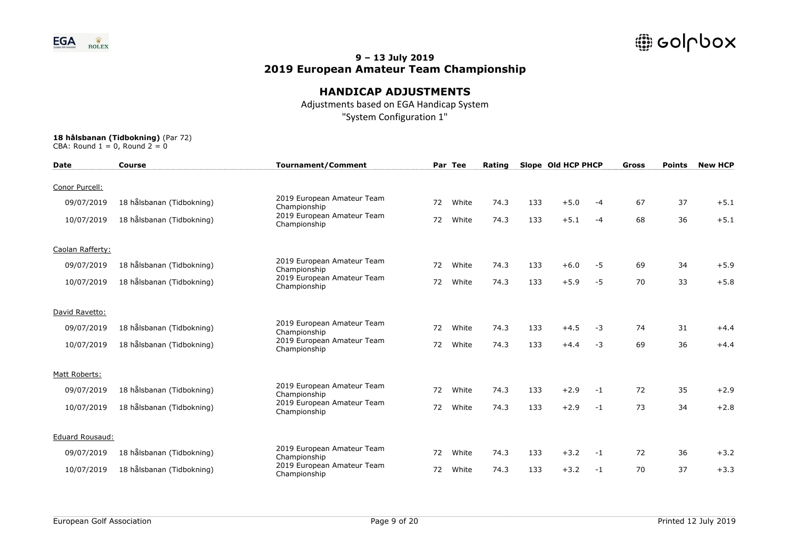

## **HANDICAP ADJUSTMENTS**

Adjustments based on EGA Handicap System "System Configuration 1"

| <b>Date</b>            | Course                    | <b>Tournament/Comment</b>                  |    | Par Tee | Rating |     | Slope Old HCP PHCP |      | Gross | <b>Points</b> | <b>New HCP</b> |
|------------------------|---------------------------|--------------------------------------------|----|---------|--------|-----|--------------------|------|-------|---------------|----------------|
| Conor Purcell:         |                           |                                            |    |         |        |     |                    |      |       |               |                |
| 09/07/2019             | 18 hålsbanan (Tidbokning) | 2019 European Amateur Team<br>Championship | 72 | White   | 74.3   | 133 | $+5.0$             | -4   | 67    | 37            | $+5.1$         |
| 10/07/2019             | 18 hålsbanan (Tidbokning) | 2019 European Amateur Team<br>Championship | 72 | White   | 74.3   | 133 | $+5.1$             | $-4$ | 68    | 36            | $+5.1$         |
| Caolan Rafferty:       |                           |                                            |    |         |        |     |                    |      |       |               |                |
| 09/07/2019             | 18 hålsbanan (Tidbokning) | 2019 European Amateur Team<br>Championship | 72 | White   | 74.3   | 133 | $+6.0$             | -5   | 69    | 34            | $+5.9$         |
| 10/07/2019             | 18 hålsbanan (Tidbokning) | 2019 European Amateur Team<br>Championship | 72 | White   | 74.3   | 133 | $+5.9$             | $-5$ | 70    | 33            | $+5.8$         |
| David Ravetto:         |                           |                                            |    |         |        |     |                    |      |       |               |                |
| 09/07/2019             | 18 hålsbanan (Tidbokning) | 2019 European Amateur Team<br>Championship | 72 | White   | 74.3   | 133 | $+4.5$             | $-3$ | 74    | 31            | $+4.4$         |
| 10/07/2019             | 18 hålsbanan (Tidbokning) | 2019 European Amateur Team<br>Championship | 72 | White   | 74.3   | 133 | $+4.4$             | $-3$ | 69    | 36            | $+4.4$         |
| Matt Roberts:          |                           |                                            |    |         |        |     |                    |      |       |               |                |
| 09/07/2019             | 18 hålsbanan (Tidbokning) | 2019 European Amateur Team<br>Championship | 72 | White   | 74.3   | 133 | $+2.9$             | $-1$ | 72    | 35            | $+2.9$         |
| 10/07/2019             | 18 hålsbanan (Tidbokning) | 2019 European Amateur Team<br>Championship | 72 | White   | 74.3   | 133 | $+2.9$             | $-1$ | 73    | 34            | $+2.8$         |
| <b>Eduard Rousaud:</b> |                           |                                            |    |         |        |     |                    |      |       |               |                |
| 09/07/2019             | 18 hålsbanan (Tidbokning) | 2019 European Amateur Team<br>Championship | 72 | White   | 74.3   | 133 | $+3.2$             | $-1$ | 72    | 36            | $+3.2$         |
| 10/07/2019             | 18 hålsbanan (Tidbokning) | 2019 European Amateur Team<br>Championship | 72 | White   | 74.3   | 133 | $+3.2$             | $-1$ | 70    | 37            | $+3.3$         |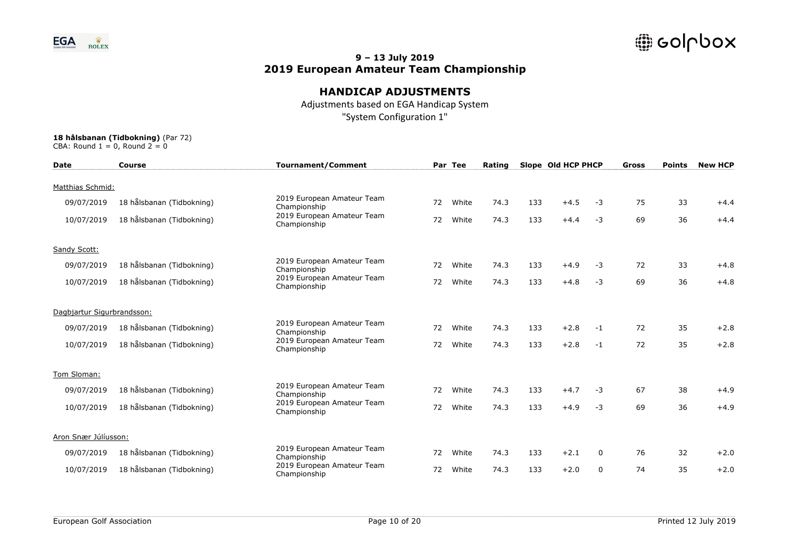

## **HANDICAP ADJUSTMENTS**

Adjustments based on EGA Handicap System "System Configuration 1"

| <b>Date</b>                | <b>Course</b>             | <b>Tournament/Comment</b>                  |    | Par Tee | Rating |     | Slope Old HCP PHCP |          | Gross | <b>Points</b> | <b>New HCP</b> |
|----------------------------|---------------------------|--------------------------------------------|----|---------|--------|-----|--------------------|----------|-------|---------------|----------------|
| Matthias Schmid:           |                           |                                            |    |         |        |     |                    |          |       |               |                |
| 09/07/2019                 | 18 hålsbanan (Tidbokning) | 2019 European Amateur Team<br>Championship | 72 | White   | 74.3   | 133 | $+4.5$             | $-3$     | 75    | 33            | $+4.4$         |
| 10/07/2019                 | 18 hålsbanan (Tidbokning) | 2019 European Amateur Team<br>Championship | 72 | White   | 74.3   | 133 | $+4.4$             | $-3$     | 69    | 36            | $+4.4$         |
| Sandy Scott:               |                           |                                            |    |         |        |     |                    |          |       |               |                |
| 09/07/2019                 | 18 hålsbanan (Tidbokning) | 2019 European Amateur Team<br>Championship | 72 | White   | 74.3   | 133 | $+4.9$             | $-3$     | 72    | 33            | $+4.8$         |
| 10/07/2019                 | 18 hålsbanan (Tidbokning) | 2019 European Amateur Team<br>Championship | 72 | White   | 74.3   | 133 | $+4.8$             | $-3$     | 69    | 36            | $+4.8$         |
| Dagbjartur Sigurbrandsson: |                           |                                            |    |         |        |     |                    |          |       |               |                |
| 09/07/2019                 | 18 hålsbanan (Tidbokning) | 2019 European Amateur Team<br>Championship | 72 | White   | 74.3   | 133 | $+2.8$             | $-1$     | 72    | 35            | $+2.8$         |
| 10/07/2019                 | 18 hålsbanan (Tidbokning) | 2019 European Amateur Team<br>Championship | 72 | White   | 74.3   | 133 | $+2.8$             | $-1$     | 72    | 35            | $+2.8$         |
| Tom Sloman:                |                           |                                            |    |         |        |     |                    |          |       |               |                |
| 09/07/2019                 | 18 hålsbanan (Tidbokning) | 2019 European Amateur Team<br>Championship | 72 | White   | 74.3   | 133 | $+4.7$             | $-3$     | 67    | 38            | $+4.9$         |
| 10/07/2019                 | 18 hålsbanan (Tidbokning) | 2019 European Amateur Team<br>Championship | 72 | White   | 74.3   | 133 | $+4.9$             | $-3$     | 69    | 36            | $+4.9$         |
| Aron Snær Júlíusson:       |                           |                                            |    |         |        |     |                    |          |       |               |                |
| 09/07/2019                 | 18 hålsbanan (Tidbokning) | 2019 European Amateur Team<br>Championship | 72 | White   | 74.3   | 133 | $+2.1$             | $\Omega$ | 76    | 32            | $+2.0$         |
| 10/07/2019                 | 18 hålsbanan (Tidbokning) | 2019 European Amateur Team<br>Championship | 72 | White   | 74.3   | 133 | $+2.0$             | $\Omega$ | 74    | 35            | $+2.0$         |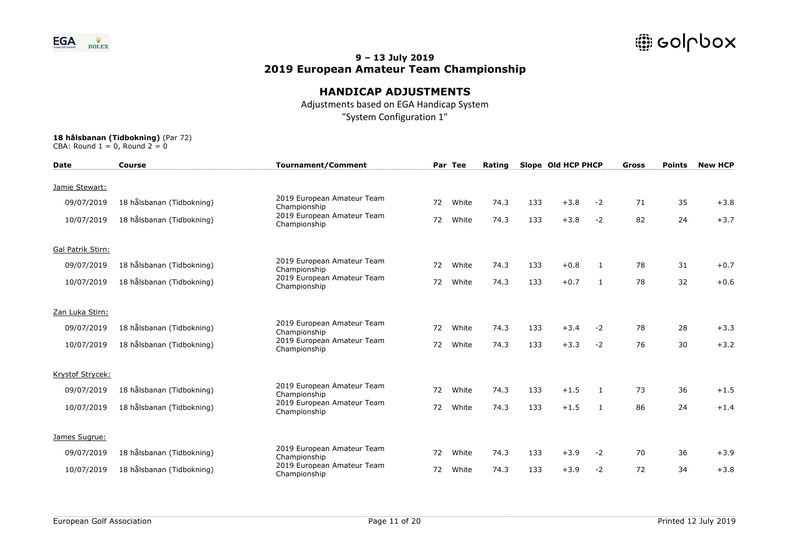

## **HANDICAP ADJUSTMENTS**

Adjustments based on EGA Handicap System "System Configuration 1"

| <b>Date</b>       | <b>Course</b>             | <b>Tournament/Comment</b>                  |    | Par Tee | Rating |     | Slope Old HCP PHCP |      | Gross | <b>Points</b> | <b>New HCP</b> |
|-------------------|---------------------------|--------------------------------------------|----|---------|--------|-----|--------------------|------|-------|---------------|----------------|
| Jamie Stewart:    |                           |                                            |    |         |        |     |                    |      |       |               |                |
| 09/07/2019        | 18 hålsbanan (Tidbokning) | 2019 European Amateur Team<br>Championship | 72 | White   | 74.3   | 133 | $+3.8$             | $-2$ | 71    | 35            | $+3.8$         |
| 10/07/2019        | 18 hålsbanan (Tidbokning) | 2019 European Amateur Team<br>Championship | 72 | White   | 74.3   | 133 | $+3.8$             | $-2$ | 82    | 24            | $+3.7$         |
| Gal Patrik Stirn: |                           |                                            |    |         |        |     |                    |      |       |               |                |
| 09/07/2019        | 18 hålsbanan (Tidbokning) | 2019 European Amateur Team<br>Championship | 72 | White   | 74.3   | 133 | $+0.8$             | 1    | 78    | 31            | $+0.7$         |
| 10/07/2019        | 18 hålsbanan (Tidbokning) | 2019 European Amateur Team<br>Championship | 72 | White   | 74.3   | 133 | $+0.7$             | 1    | 78    | 32            | $+0.6$         |
| Zan Luka Stirn:   |                           |                                            |    |         |        |     |                    |      |       |               |                |
| 09/07/2019        | 18 hålsbanan (Tidbokning) | 2019 European Amateur Team<br>Championship | 72 | White   | 74.3   | 133 | $+3.4$             | $-2$ | 78    | 28            | $+3.3$         |
| 10/07/2019        | 18 hålsbanan (Tidbokning) | 2019 European Amateur Team<br>Championship | 72 | White   | 74.3   | 133 | $+3.3$             | $-2$ | 76    | 30            | $+3.2$         |
| Krystof Strycek:  |                           |                                            |    |         |        |     |                    |      |       |               |                |
| 09/07/2019        | 18 hålsbanan (Tidbokning) | 2019 European Amateur Team<br>Championship | 72 | White   | 74.3   | 133 | $+1.5$             | 1    | 73    | 36            | $+1.5$         |
| 10/07/2019        | 18 hålsbanan (Tidbokning) | 2019 European Amateur Team<br>Championship | 72 | White   | 74.3   | 133 | $+1.5$             | 1    | 86    | 24            | $+1.4$         |
| James Sugrue:     |                           |                                            |    |         |        |     |                    |      |       |               |                |
| 09/07/2019        | 18 hålsbanan (Tidbokning) | 2019 European Amateur Team<br>Championship | 72 | White   | 74.3   | 133 | $+3.9$             | $-2$ | 70    | 36            | $+3.9$         |
| 10/07/2019        | 18 hålsbanan (Tidbokning) | 2019 European Amateur Team<br>Championship | 72 | White   | 74.3   | 133 | $+3.9$             | $-2$ | 72    | 34            | $+3.8$         |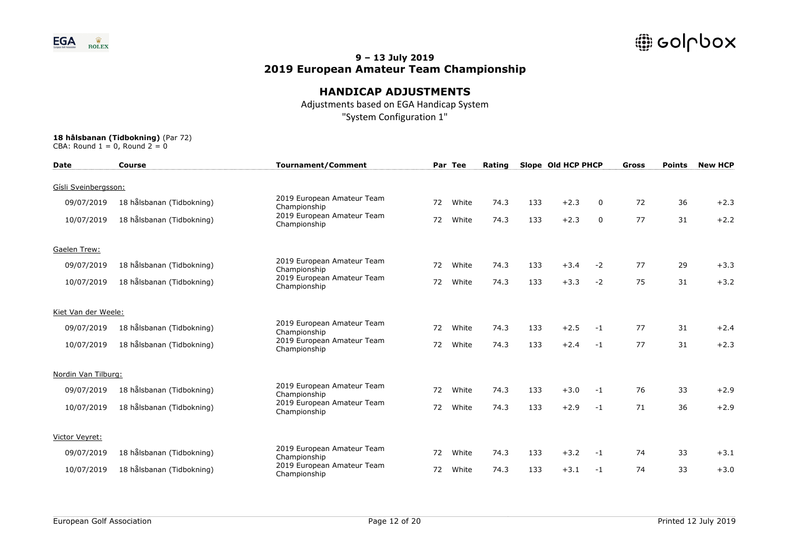

## **HANDICAP ADJUSTMENTS**

Adjustments based on EGA Handicap System "System Configuration 1"

| <b>Date</b>          | <b>Course</b>             | <b>Tournament/Comment</b>                  |    | Par Tee | Rating |     | Slope Old HCP PHCP |             | Gross | <b>Points</b> | <b>New HCP</b> |
|----------------------|---------------------------|--------------------------------------------|----|---------|--------|-----|--------------------|-------------|-------|---------------|----------------|
| Gísli Sveinbergsson: |                           |                                            |    |         |        |     |                    |             |       |               |                |
| 09/07/2019           | 18 hålsbanan (Tidbokning) | 2019 European Amateur Team<br>Championship | 72 | White   | 74.3   | 133 | $+2.3$             | 0           | 72    | 36            | $+2.3$         |
| 10/07/2019           | 18 hålsbanan (Tidbokning) | 2019 European Amateur Team<br>Championship | 72 | White   | 74.3   | 133 | $+2.3$             | $\mathbf 0$ | 77    | 31            | $+2.2$         |
| Gaelen Trew:         |                           |                                            |    |         |        |     |                    |             |       |               |                |
| 09/07/2019           | 18 hålsbanan (Tidbokning) | 2019 European Amateur Team<br>Championship | 72 | White   | 74.3   | 133 | $+3.4$             | $-2$        | 77    | 29            | $+3.3$         |
| 10/07/2019           | 18 hålsbanan (Tidbokning) | 2019 European Amateur Team<br>Championship | 72 | White   | 74.3   | 133 | $+3.3$             | $-2$        | 75    | 31            | $+3.2$         |
| Kiet Van der Weele:  |                           |                                            |    |         |        |     |                    |             |       |               |                |
| 09/07/2019           | 18 hålsbanan (Tidbokning) | 2019 European Amateur Team<br>Championship | 72 | White   | 74.3   | 133 | $+2.5$             | $-1$        | 77    | 31            | $+2.4$         |
| 10/07/2019           | 18 hålsbanan (Tidbokning) | 2019 European Amateur Team<br>Championship | 72 | White   | 74.3   | 133 | $+2.4$             | $-1$        | 77    | 31            | $+2.3$         |
| Nordin Van Tilburg:  |                           |                                            |    |         |        |     |                    |             |       |               |                |
| 09/07/2019           | 18 hålsbanan (Tidbokning) | 2019 European Amateur Team<br>Championship | 72 | White   | 74.3   | 133 | $+3.0$             | $-1$        | 76    | 33            | $+2.9$         |
| 10/07/2019           | 18 hålsbanan (Tidbokning) | 2019 European Amateur Team<br>Championship | 72 | White   | 74.3   | 133 | $+2.9$             | $-1$        | 71    | 36            | $+2.9$         |
| Victor Veyret:       |                           |                                            |    |         |        |     |                    |             |       |               |                |
| 09/07/2019           | 18 hålsbanan (Tidbokning) | 2019 European Amateur Team<br>Championship | 72 | White   | 74.3   | 133 | $+3.2$             | $-1$        | 74    | 33            | $+3.1$         |
| 10/07/2019           | 18 hålsbanan (Tidbokning) | 2019 European Amateur Team<br>Championship | 72 | White   | 74.3   | 133 | $+3.1$             | $-1$        | 74    | 33            | $+3.0$         |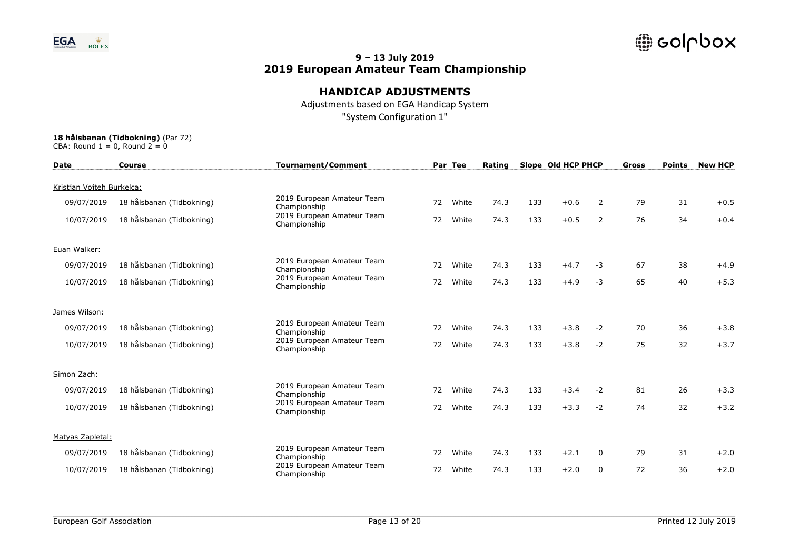

## **HANDICAP ADJUSTMENTS**

Adjustments based on EGA Handicap System "System Configuration 1"

| <b>Date</b>               | Course                    | <b>Tournament/Comment</b>                  |    | Par Tee | Rating |     | Slope Old HCP PHCP |                | Gross | <b>Points</b> | <b>New HCP</b> |
|---------------------------|---------------------------|--------------------------------------------|----|---------|--------|-----|--------------------|----------------|-------|---------------|----------------|
| Kristian Vojteh Burkelca: |                           |                                            |    |         |        |     |                    |                |       |               |                |
| 09/07/2019                | 18 hålsbanan (Tidbokning) | 2019 European Amateur Team<br>Championship | 72 | White   | 74.3   | 133 | $+0.6$             | $\overline{2}$ | 79    | 31            | $+0.5$         |
| 10/07/2019                | 18 hålsbanan (Tidbokning) | 2019 European Amateur Team<br>Championship | 72 | White   | 74.3   | 133 | $+0.5$             | $\overline{2}$ | 76    | 34            | $+0.4$         |
| Euan Walker:              |                           |                                            |    |         |        |     |                    |                |       |               |                |
| 09/07/2019                | 18 hålsbanan (Tidbokning) | 2019 European Amateur Team<br>Championship | 72 | White   | 74.3   | 133 | $+4.7$             | $-3$           | 67    | 38            | $+4.9$         |
| 10/07/2019                | 18 hålsbanan (Tidbokning) | 2019 European Amateur Team<br>Championship | 72 | White   | 74.3   | 133 | $+4.9$             | $-3$           | 65    | 40            | $+5.3$         |
| James Wilson:             |                           |                                            |    |         |        |     |                    |                |       |               |                |
| 09/07/2019                | 18 hålsbanan (Tidbokning) | 2019 European Amateur Team<br>Championship | 72 | White   | 74.3   | 133 | $+3.8$             | $-2$           | 70    | 36            | $+3.8$         |
| 10/07/2019                | 18 hålsbanan (Tidbokning) | 2019 European Amateur Team<br>Championship | 72 | White   | 74.3   | 133 | $+3.8$             | $-2$           | 75    | 32            | $+3.7$         |
| Simon Zach:               |                           |                                            |    |         |        |     |                    |                |       |               |                |
| 09/07/2019                | 18 hålsbanan (Tidbokning) | 2019 European Amateur Team<br>Championship | 72 | White   | 74.3   | 133 | $+3.4$             | $-2$           | 81    | 26            | $+3.3$         |
| 10/07/2019                | 18 hålsbanan (Tidbokning) | 2019 European Amateur Team<br>Championship | 72 | White   | 74.3   | 133 | $+3.3$             | $-2$           | 74    | 32            | $+3.2$         |
| Matyas Zapletal:          |                           |                                            |    |         |        |     |                    |                |       |               |                |
| 09/07/2019                | 18 hålsbanan (Tidbokning) | 2019 European Amateur Team<br>Championship | 72 | White   | 74.3   | 133 | $+2.1$             | $\mathbf{0}$   | 79    | 31            | $+2.0$         |
| 10/07/2019                | 18 hålsbanan (Tidbokning) | 2019 European Amateur Team<br>Championship | 72 | White   | 74.3   | 133 | $+2.0$             | $\mathbf{0}$   | 72    | 36            | $+2.0$         |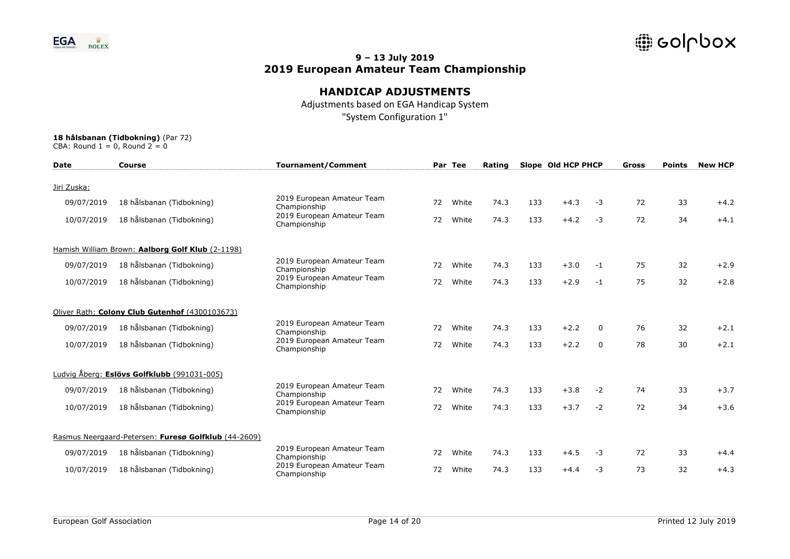

## **HANDICAP ADJUSTMENTS**

Adjustments based on EGA Handicap System "System Configuration 1"

| <b>Date</b> | <b>Course</b>                                        | <b>Tournament/Comment</b>                  |    | Par Tee | Rating |     | Slope Old HCP PHCP |              | Gross | <b>Points</b> | <b>New HCP</b> |
|-------------|------------------------------------------------------|--------------------------------------------|----|---------|--------|-----|--------------------|--------------|-------|---------------|----------------|
| Jiri Zuska: |                                                      |                                            |    |         |        |     |                    |              |       |               |                |
| 09/07/2019  | 18 hålsbanan (Tidbokning)                            | 2019 European Amateur Team<br>Championship | 72 | White   | 74.3   | 133 | $+4.3$             | $-3$         | 72    | 33            | $+4.2$         |
| 10/07/2019  | 18 hålsbanan (Tidbokning)                            | 2019 European Amateur Team<br>Championship | 72 | White   | 74.3   | 133 | $+4.2$             | $-3$         | 72    | 34            | $+4.1$         |
|             | Hamish William Brown: Aalborg Golf Klub (2-1198)     |                                            |    |         |        |     |                    |              |       |               |                |
| 09/07/2019  | 18 hålsbanan (Tidbokning)                            | 2019 European Amateur Team<br>Championship | 72 | White   | 74.3   | 133 | $+3.0$             | $-1$         | 75    | 32            | $+2.9$         |
| 10/07/2019  | 18 hålsbanan (Tidbokning)                            | 2019 European Amateur Team<br>Championship | 72 | White   | 74.3   | 133 | $+2.9$             | $-1$         | 75    | 32            | $+2.8$         |
|             | Oliver Rath: Colony Club Gutenhof (4300103673)       |                                            |    |         |        |     |                    |              |       |               |                |
| 09/07/2019  | 18 hålsbanan (Tidbokning)                            | 2019 European Amateur Team<br>Championship | 72 | White   | 74.3   | 133 | $+2.2$             | $\mathbf{0}$ | 76    | 32            | $+2.1$         |
| 10/07/2019  | 18 hålsbanan (Tidbokning)                            | 2019 European Amateur Team<br>Championship | 72 | White   | 74.3   | 133 | $+2.2$             | 0            | 78    | 30            | $+2.1$         |
|             | Ludvig Åberg: Eslövs Golfklubb (991031-005)          |                                            |    |         |        |     |                    |              |       |               |                |
| 09/07/2019  | 18 hålsbanan (Tidbokning)                            | 2019 European Amateur Team<br>Championship | 72 | White   | 74.3   | 133 | $+3.8$             | $-2$         | 74    | 33            | $+3.7$         |
| 10/07/2019  | 18 hålsbanan (Tidbokning)                            | 2019 European Amateur Team<br>Championship | 72 | White   | 74.3   | 133 | $+3.7$             | $-2$         | 72    | 34            | $+3.6$         |
|             | Rasmus Neergaard-Petersen: Furesø Golfklub (44-2609) |                                            |    |         |        |     |                    |              |       |               |                |
| 09/07/2019  | 18 hålsbanan (Tidbokning)                            | 2019 European Amateur Team<br>Championship | 72 | White   | 74.3   | 133 | $+4.5$             | $-3$         | 72    | 33            | $+4.4$         |
| 10/07/2019  | 18 hålsbanan (Tidbokning)                            | 2019 European Amateur Team<br>Championship | 72 | White   | 74.3   | 133 | $+4.4$             | $-3$         | 73    | 32            | $+4.3$         |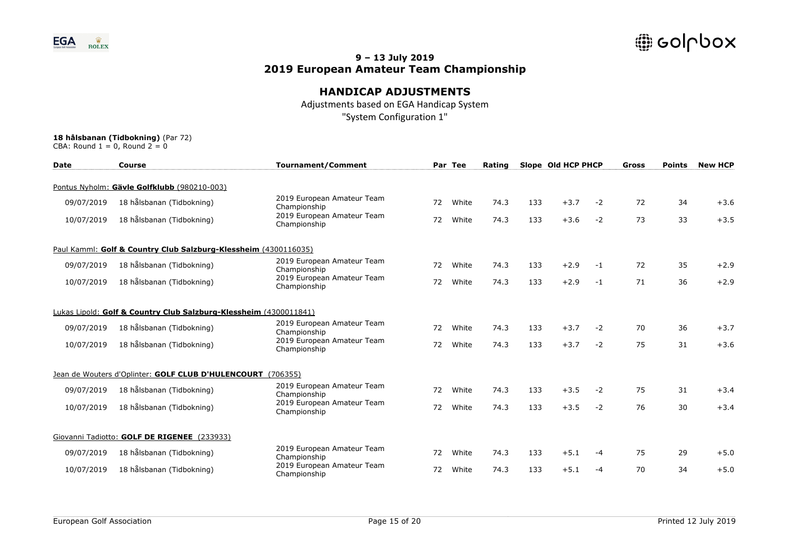

# **HANDICAP ADJUSTMENTS**

Adjustments based on EGA Handicap System "System Configuration 1"

| <b>Date</b> | <b>Course</b>                                                     | <b>Tournament/Comment</b>                  |    | Par Tee | Rating |     | Slope Old HCP PHCP |      | <b>Gross</b> | <b>Points</b> | <b>New HCP</b> |
|-------------|-------------------------------------------------------------------|--------------------------------------------|----|---------|--------|-----|--------------------|------|--------------|---------------|----------------|
|             | Pontus Nyholm: Gävle Golfklubb (980210-003)                       |                                            |    |         |        |     |                    |      |              |               |                |
| 09/07/2019  | 18 hålsbanan (Tidbokning)                                         | 2019 European Amateur Team<br>Championship | 72 | White   | 74.3   | 133 | $+3.7$             | $-2$ | 72           | 34            | $+3.6$         |
| 10/07/2019  | 18 hålsbanan (Tidbokning)                                         | 2019 European Amateur Team<br>Championship | 72 | White   | 74.3   | 133 | $+3.6$             | $-2$ | 73           | 33            | $+3.5$         |
|             | Paul Kamml: Golf & Country Club Salzburg-Klessheim (4300116035)   |                                            |    |         |        |     |                    |      |              |               |                |
| 09/07/2019  | 18 hålsbanan (Tidbokning)                                         | 2019 European Amateur Team<br>Championship | 72 | White   | 74.3   | 133 | $+2.9$             | $-1$ | 72           | 35            | $+2.9$         |
| 10/07/2019  | 18 hålsbanan (Tidbokning)                                         | 2019 European Amateur Team<br>Championship | 72 | White   | 74.3   | 133 | $+2.9$             | $-1$ | 71           | 36            | $+2.9$         |
|             | Lukas Lipold: Golf & Country Club Salzburg-Klessheim (4300011841) |                                            |    |         |        |     |                    |      |              |               |                |
| 09/07/2019  | 18 hålsbanan (Tidbokning)                                         | 2019 European Amateur Team<br>Championship | 72 | White   | 74.3   | 133 | $+3.7$             | $-2$ | 70           | 36            | $+3.7$         |
| 10/07/2019  | 18 hålsbanan (Tidbokning)                                         | 2019 European Amateur Team<br>Championship | 72 | White   | 74.3   | 133 | $+3.7$             | $-2$ | 75           | 31            | $+3.6$         |
|             | Jean de Wouters d'Oplinter: GOLF CLUB D'HULENCOURT (706355)       |                                            |    |         |        |     |                    |      |              |               |                |
| 09/07/2019  | 18 hålsbanan (Tidbokning)                                         | 2019 European Amateur Team<br>Championship | 72 | White   | 74.3   | 133 | $+3.5$             | $-2$ | 75           | 31            | $+3.4$         |
| 10/07/2019  | 18 hålsbanan (Tidbokning)                                         | 2019 European Amateur Team<br>Championship | 72 | White   | 74.3   | 133 | $+3.5$             | $-2$ | 76           | 30            | $+3.4$         |
|             | Giovanni Tadiotto: GOLF DE RIGENEE (233933)                       |                                            |    |         |        |     |                    |      |              |               |                |
| 09/07/2019  | 18 hålsbanan (Tidbokning)                                         | 2019 European Amateur Team<br>Championship | 72 | White   | 74.3   | 133 | $+5.1$             | $-4$ | 75           | 29            | $+5.0$         |
| 10/07/2019  | 18 hålsbanan (Tidbokning)                                         | 2019 European Amateur Team<br>Championship | 72 | White   | 74.3   | 133 | $+5.1$             | $-4$ | 70           | 34            | $+5.0$         |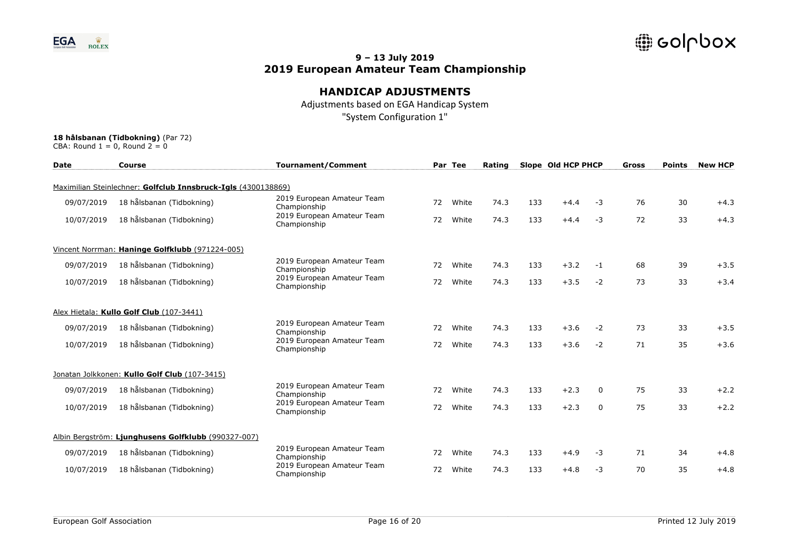

# **HANDICAP ADJUSTMENTS**

Adjustments based on EGA Handicap System "System Configuration 1"

| <b>Date</b> | Course                                                        | <b>Tournament/Comment</b>                  |    | Par Tee | Rating |     | Slope Old HCP PHCP |          | Gross | <b>Points</b> | <b>New HCP</b> |
|-------------|---------------------------------------------------------------|--------------------------------------------|----|---------|--------|-----|--------------------|----------|-------|---------------|----------------|
|             | Maximilian Steinlechner: Golfclub Innsbruck-Igls (4300138869) |                                            |    |         |        |     |                    |          |       |               |                |
| 09/07/2019  | 18 hålsbanan (Tidbokning)                                     | 2019 European Amateur Team<br>Championship | 72 | White   | 74.3   | 133 | $+4.4$             | $-3$     | 76    | 30            | $+4.3$         |
| 10/07/2019  | 18 hålsbanan (Tidbokning)                                     | 2019 European Amateur Team<br>Championship | 72 | White   | 74.3   | 133 | $+4.4$             | $-3$     | 72    | 33            | $+4.3$         |
|             | Vincent Norrman: Haninge Golfklubb (971224-005)               |                                            |    |         |        |     |                    |          |       |               |                |
| 09/07/2019  | 18 hålsbanan (Tidbokning)                                     | 2019 European Amateur Team<br>Championship | 72 | White   | 74.3   | 133 | $+3.2$             | $-1$     | 68    | 39            | $+3.5$         |
| 10/07/2019  | 18 hålsbanan (Tidbokning)                                     | 2019 European Amateur Team<br>Championship | 72 | White   | 74.3   | 133 | $+3.5$             | $-2$     | 73    | 33            | $+3.4$         |
|             | Alex Hietala: Kullo Golf Club (107-3441)                      |                                            |    |         |        |     |                    |          |       |               |                |
| 09/07/2019  | 18 hålsbanan (Tidbokning)                                     | 2019 European Amateur Team<br>Championship | 72 | White   | 74.3   | 133 | $+3.6$             | $-2$     | 73    | 33            | $+3.5$         |
| 10/07/2019  | 18 hålsbanan (Tidbokning)                                     | 2019 European Amateur Team<br>Championship | 72 | White   | 74.3   | 133 | $+3.6$             | $-2$     | 71    | 35            | $+3.6$         |
|             | Jonatan Jolkkonen: Kullo Golf Club (107-3415)                 |                                            |    |         |        |     |                    |          |       |               |                |
| 09/07/2019  | 18 hålsbanan (Tidbokning)                                     | 2019 European Amateur Team<br>Championship | 72 | White   | 74.3   | 133 | $+2.3$             | $\Omega$ | 75    | 33            | $+2.2$         |
| 10/07/2019  | 18 hålsbanan (Tidbokning)                                     | 2019 European Amateur Team<br>Championship | 72 | White   | 74.3   | 133 | $+2.3$             | $\Omega$ | 75    | 33            | $+2.2$         |
|             | Albin Bergström: Ljunghusens Golfklubb (990327-007)           |                                            |    |         |        |     |                    |          |       |               |                |
| 09/07/2019  | 18 hålsbanan (Tidbokning)                                     | 2019 European Amateur Team<br>Championship | 72 | White   | 74.3   | 133 | $+4.9$             | $-3$     | 71    | 34            | $+4.8$         |
| 10/07/2019  | 18 hålsbanan (Tidbokning)                                     | 2019 European Amateur Team<br>Championship | 72 | White   | 74.3   | 133 | $+4.8$             | $-3$     | 70    | 35            | $+4.8$         |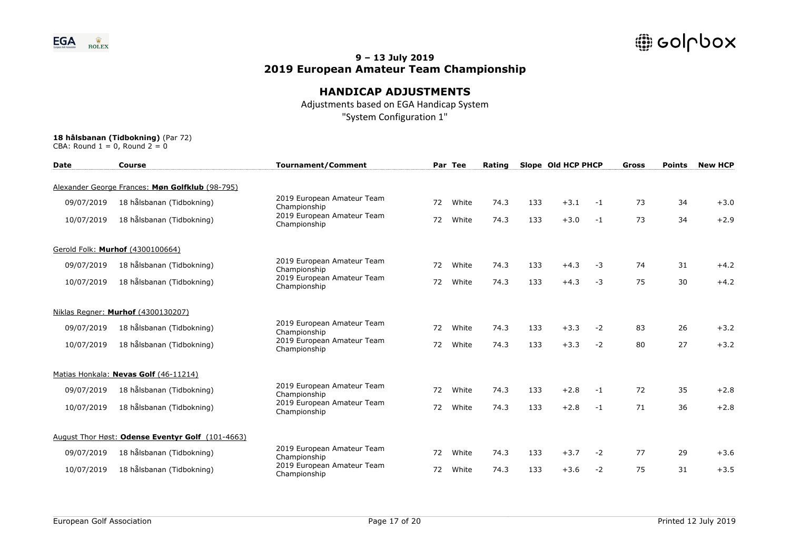

## **HANDICAP ADJUSTMENTS**

Adjustments based on EGA Handicap System "System Configuration 1"

| <b>Date</b> | <b>Course</b>                                    | <b>Tournament/Comment</b>                  |    | Par Tee | Rating |     | Slope Old HCP PHCP |      | Gross | <b>Points</b> | <b>New HCP</b> |
|-------------|--------------------------------------------------|--------------------------------------------|----|---------|--------|-----|--------------------|------|-------|---------------|----------------|
|             | Alexander George Frances: Møn Golfklub (98-795)  |                                            |    |         |        |     |                    |      |       |               |                |
| 09/07/2019  | 18 hålsbanan (Tidbokning)                        | 2019 European Amateur Team<br>Championship | 72 | White   | 74.3   | 133 | $+3.1$             | $-1$ | 73    | 34            | $+3.0$         |
| 10/07/2019  | 18 hålsbanan (Tidbokning)                        | 2019 European Amateur Team<br>Championship | 72 | White   | 74.3   | 133 | $+3.0$             | $-1$ | 73    | 34            | $+2.9$         |
|             | Gerold Folk: Murhof (4300100664)                 |                                            |    |         |        |     |                    |      |       |               |                |
| 09/07/2019  | 18 hålsbanan (Tidbokning)                        | 2019 European Amateur Team<br>Championship | 72 | White   | 74.3   | 133 | $+4.3$             | $-3$ | 74    | 31            | $+4.2$         |
| 10/07/2019  | 18 hålsbanan (Tidbokning)                        | 2019 European Amateur Team<br>Championship | 72 | White   | 74.3   | 133 | $+4.3$             | $-3$ | 75    | 30            | $+4.2$         |
|             | Niklas Regner: Murhof (4300130207)               |                                            |    |         |        |     |                    |      |       |               |                |
| 09/07/2019  | 18 hålsbanan (Tidbokning)                        | 2019 European Amateur Team<br>Championship | 72 | White   | 74.3   | 133 | $+3.3$             | $-2$ | 83    | 26            | $+3.2$         |
| 10/07/2019  | 18 hålsbanan (Tidbokning)                        | 2019 European Amateur Team<br>Championship | 72 | White   | 74.3   | 133 | $+3.3$             | $-2$ | 80    | 27            | $+3.2$         |
|             | Matias Honkala: Nevas Golf (46-11214)            |                                            |    |         |        |     |                    |      |       |               |                |
| 09/07/2019  | 18 hålsbanan (Tidbokning)                        | 2019 European Amateur Team<br>Championship | 72 | White   | 74.3   | 133 | $+2.8$             | $-1$ | 72    | 35            | $+2.8$         |
| 10/07/2019  | 18 hålsbanan (Tidbokning)                        | 2019 European Amateur Team<br>Championship | 72 | White   | 74.3   | 133 | $+2.8$             | $-1$ | 71    | 36            | $+2.8$         |
|             | August Thor Høst: Odense Eventyr Golf (101-4663) |                                            |    |         |        |     |                    |      |       |               |                |
| 09/07/2019  | 18 hålsbanan (Tidbokning)                        | 2019 European Amateur Team<br>Championship | 72 | White   | 74.3   | 133 | $+3.7$             | $-2$ | 77    | 29            | $+3.6$         |
| 10/07/2019  | 18 hålsbanan (Tidbokning)                        | 2019 European Amateur Team<br>Championship | 72 | White   | 74.3   | 133 | $+3.6$             | $-2$ | 75    | 31            | $+3.5$         |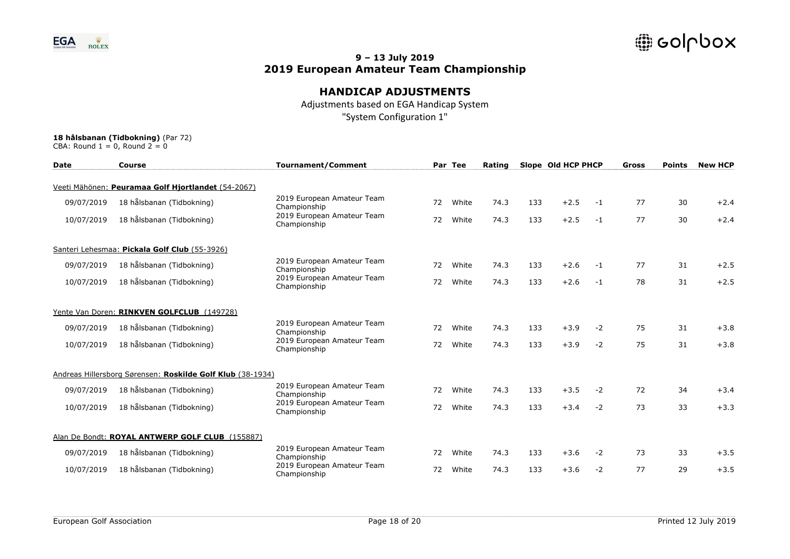

## **HANDICAP ADJUSTMENTS**

Adjustments based on EGA Handicap System "System Configuration 1"

| <b>Date</b> | Course                                                     | <b>Tournament/Comment</b>                  |    | Par Tee | Rating |     | Slope Old HCP PHCP |      | <b>Gross</b> | <b>Points</b> | <b>New HCP</b> |
|-------------|------------------------------------------------------------|--------------------------------------------|----|---------|--------|-----|--------------------|------|--------------|---------------|----------------|
|             | Veeti Mähönen: Peuramaa Golf Hjortlandet (54-2067)         |                                            |    |         |        |     |                    |      |              |               |                |
| 09/07/2019  | 18 hålsbanan (Tidbokning)                                  | 2019 European Amateur Team<br>Championship | 72 | White   | 74.3   | 133 | $+2.5$             | $-1$ | 77           | 30            | $+2.4$         |
| 10/07/2019  | 18 hålsbanan (Tidbokning)                                  | 2019 European Amateur Team<br>Championship | 72 | White   | 74.3   | 133 | $+2.5$             | $-1$ | 77           | 30            | $+2.4$         |
|             | Santeri Lehesmaa: Pickala Golf Club (55-3926)              |                                            |    |         |        |     |                    |      |              |               |                |
| 09/07/2019  | 18 hålsbanan (Tidbokning)                                  | 2019 European Amateur Team<br>Championship | 72 | White   | 74.3   | 133 | $+2.6$             | $-1$ | 77           | 31            | $+2.5$         |
| 10/07/2019  | 18 hålsbanan (Tidbokning)                                  | 2019 European Amateur Team<br>Championship | 72 | White   | 74.3   | 133 | $+2.6$             | $-1$ | 78           | 31            | $+2.5$         |
|             | Yente Van Doren: RINKVEN GOLFCLUB (149728)                 |                                            |    |         |        |     |                    |      |              |               |                |
| 09/07/2019  | 18 hålsbanan (Tidbokning)                                  | 2019 European Amateur Team<br>Championship | 72 | White   | 74.3   | 133 | $+3.9$             | $-2$ | 75           | 31            | $+3.8$         |
| 10/07/2019  | 18 hålsbanan (Tidbokning)                                  | 2019 European Amateur Team<br>Championship | 72 | White   | 74.3   | 133 | $+3.9$             | $-2$ | 75           | 31            | $+3.8$         |
|             | Andreas Hillersborg Sørensen: Roskilde Golf Klub (38-1934) |                                            |    |         |        |     |                    |      |              |               |                |
| 09/07/2019  | 18 hålsbanan (Tidbokning)                                  | 2019 European Amateur Team<br>Championship | 72 | White   | 74.3   | 133 | $+3.5$             | $-2$ | 72           | 34            | $+3.4$         |
| 10/07/2019  | 18 hålsbanan (Tidbokning)                                  | 2019 European Amateur Team<br>Championship | 72 | White   | 74.3   | 133 | $+3.4$             | $-2$ | 73           | 33            | $+3.3$         |
|             | Alan De Bondt: ROYAL ANTWERP GOLF CLUB (155887)            |                                            |    |         |        |     |                    |      |              |               |                |
| 09/07/2019  | 18 hålsbanan (Tidbokning)                                  | 2019 European Amateur Team<br>Championship | 72 | White   | 74.3   | 133 | $+3.6$             | $-2$ | 73           | 33            | $+3.5$         |
| 10/07/2019  | 18 hålsbanan (Tidbokning)                                  | 2019 European Amateur Team<br>Championship | 72 | White   | 74.3   | 133 | $+3.6$             | $-2$ | 77           | 29            | $+3.5$         |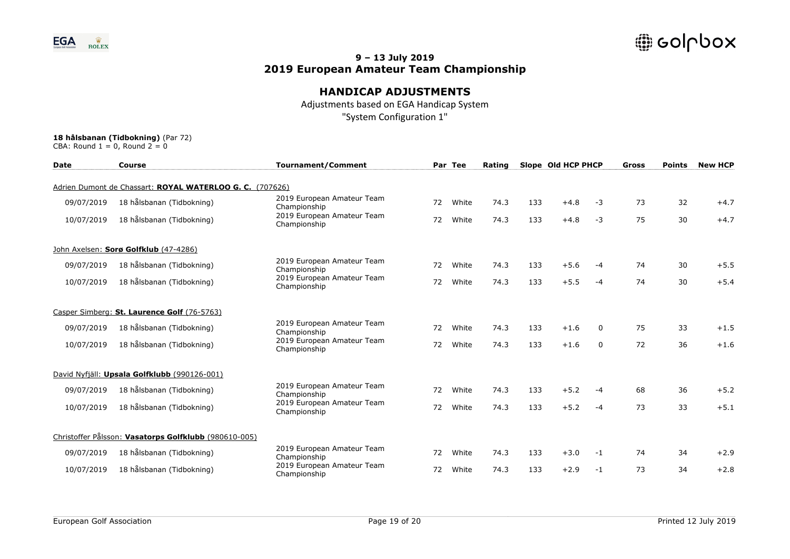

## **HANDICAP ADJUSTMENTS**

Adjustments based on EGA Handicap System "System Configuration 1"

| <b>Date</b> | <b>Course</b>                                            | <b>Tournament/Comment</b>                  |    | Par Tee | Rating |     | Slope Old HCP PHCP |          | Gross | <b>Points</b> | <b>New HCP</b> |
|-------------|----------------------------------------------------------|--------------------------------------------|----|---------|--------|-----|--------------------|----------|-------|---------------|----------------|
|             | Adrien Dumont de Chassart: ROYAL WATERLOO G. C. (707626) |                                            |    |         |        |     |                    |          |       |               |                |
| 09/07/2019  | 18 hålsbanan (Tidbokning)                                | 2019 European Amateur Team<br>Championship | 72 | White   | 74.3   | 133 | $+4.8$             | $-3$     | 73    | 32            | $+4.7$         |
| 10/07/2019  | 18 hålsbanan (Tidbokning)                                | 2019 European Amateur Team<br>Championship | 72 | White   | 74.3   | 133 | $+4.8$             | $-3$     | 75    | 30            | $+4.7$         |
|             | John Axelsen: Sorø Golfklub (47-4286)                    |                                            |    |         |        |     |                    |          |       |               |                |
| 09/07/2019  | 18 hålsbanan (Tidbokning)                                | 2019 European Amateur Team<br>Championship | 72 | White   | 74.3   | 133 | $+5.6$             | -4       | 74    | 30            | $+5.5$         |
| 10/07/2019  | 18 hålsbanan (Tidbokning)                                | 2019 European Amateur Team<br>Championship | 72 | White   | 74.3   | 133 | $+5.5$             | $-4$     | 74    | 30            | $+5.4$         |
|             | Casper Simberg: St. Laurence Golf (76-5763)              |                                            |    |         |        |     |                    |          |       |               |                |
| 09/07/2019  | 18 hålsbanan (Tidbokning)                                | 2019 European Amateur Team<br>Championship | 72 | White   | 74.3   | 133 | $+1.6$             | $\Omega$ | 75    | 33            | $+1.5$         |
| 10/07/2019  | 18 hålsbanan (Tidbokning)                                | 2019 European Amateur Team<br>Championship | 72 | White   | 74.3   | 133 | $+1.6$             | 0        | 72    | 36            | $+1.6$         |
|             | David Nyfjäll: Upsala Golfklubb (990126-001)             |                                            |    |         |        |     |                    |          |       |               |                |
| 09/07/2019  | 18 hålsbanan (Tidbokning)                                | 2019 European Amateur Team<br>Championship | 72 | White   | 74.3   | 133 | $+5.2$             | -4       | 68    | 36            | $+5.2$         |
| 10/07/2019  | 18 hålsbanan (Tidbokning)                                | 2019 European Amateur Team<br>Championship | 72 | White   | 74.3   | 133 | $+5.2$             | $-4$     | 73    | 33            | $+5.1$         |
|             | Christoffer Pålsson: Vasatorps Golfklubb (980610-005)    |                                            |    |         |        |     |                    |          |       |               |                |
| 09/07/2019  | 18 hålsbanan (Tidbokning)                                | 2019 European Amateur Team<br>Championship | 72 | White   | 74.3   | 133 | $+3.0$             | $-1$     | 74    | 34            | $+2.9$         |
| 10/07/2019  | 18 hålsbanan (Tidbokning)                                | 2019 European Amateur Team<br>Championship | 72 | White   | 74.3   | 133 | $+2.9$             | $-1$     | 73    | 34            | $+2.8$         |